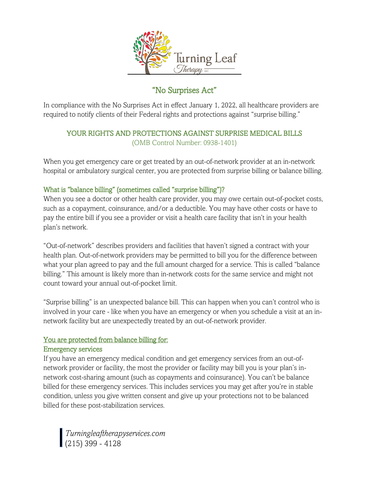

# "No Surprises Act"

In compliance with the No Surprises Act in effect January 1, 2022, all healthcare providers are required to notify clients of their Federal rights and protections against "surprise billing."

## YOUR RIGHTS AND PROTECTIONS AGAINST SURPRISE MEDICAL BILLS (OMB Control Number: 0938-1401)

When you get emergency care or get treated by an out-of-network provider at an in-network hospital or ambulatory surgical center, you are protected from surprise billing or balance billing.

### What is "balance billing" (sometimes called "surprise billing")?

When you see a doctor or other health care provider, you may owe certain out-of-pocket costs, such as a copayment, coinsurance, and/or a deductible. You may have other costs or have to pay the entire bill if you see a provider or visit a health care facility that isn't in your health plan's network.

"Out-of-network" describes providers and facilities that haven't signed a contract with your health plan. Out-of-network providers may be permitted to bill you for the difference between what your plan agreed to pay and the full amount charged for a service. This is called "balance billing." This amount is likely more than in-network costs for the same service and might not count toward your annual out-of-pocket limit.

"Surprise billing" is an unexpected balance bill. This can happen when you can't control who is involved in your care - like when you have an emergency or when you schedule a visit at an innetwork facility but are unexpectedly treated by an out-of-network provider.

#### You are protected from balance billing for: Emergency services

If you have an emergency medical condition and get emergency services from an out-ofnetwork provider or facility, the most the provider or facility may bill you is your plan's innetwork cost-sharing amount (such as copayments and coinsurance). You can't be balance billed for these emergency services. This includes services you may get after you're in stable condition, unless you give written consent and give up your protections not to be balanced billed for these post-stabilization services.